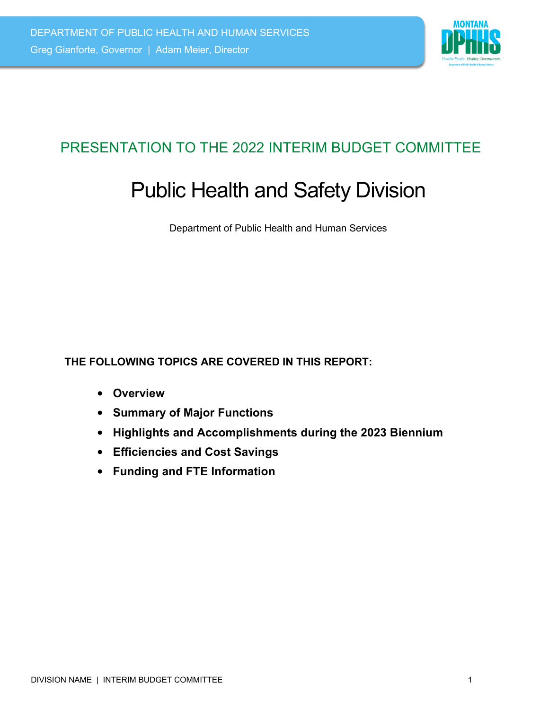

# PRESENTATION TO THE 2022 INTERIM BUDGET COMMITTEE

# Public Health and Safety Division

Department of Public Health and Human Services

**THE FOLLOWING TOPICS ARE COVERED IN THIS REPORT:**

- **Overview**
- **Summary of Major Functions**
- **Highlights and Accomplishments during the 2023 Biennium**
- **Efficiencies and Cost Savings**
- **Funding and FTE Information**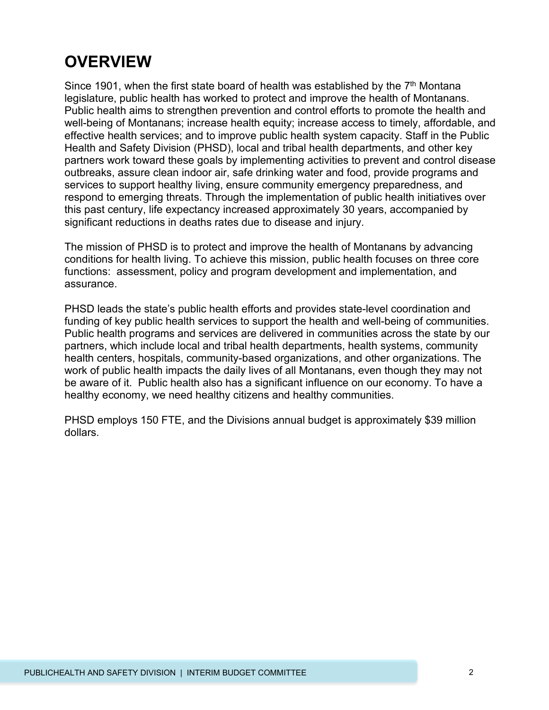# **OVERVIEW**

Since 1901, when the first state board of health was established by the  $7<sup>th</sup>$  Montana legislature, public health has worked to protect and improve the health of Montanans. Public health aims to strengthen prevention and control efforts to promote the health and well-being of Montanans; increase health equity; increase access to timely, affordable, and effective health services; and to improve public health system capacity. Staff in the Public Health and Safety Division (PHSD), local and tribal health departments, and other key partners work toward these goals by implementing activities to prevent and control disease outbreaks, assure clean indoor air, safe drinking water and food, provide programs and services to support healthy living, ensure community emergency preparedness, and respond to emerging threats. Through the implementation of public health initiatives over this past century, life expectancy increased approximately 30 years, accompanied by significant reductions in deaths rates due to disease and injury.

The mission of PHSD is to protect and improve the health of Montanans by advancing conditions for health living. To achieve this mission, public health focuses on three core functions: assessment, policy and program development and implementation, and assurance.

PHSD leads the state's public health efforts and provides state-level coordination and funding of key public health services to support the health and well-being of communities. Public health programs and services are delivered in communities across the state by our partners, which include local and tribal health departments, health systems, community health centers, hospitals, community-based organizations, and other organizations. The work of public health impacts the daily lives of all Montanans, even though they may not be aware of it. Public health also has a significant influence on our economy. To have a healthy economy, we need healthy citizens and healthy communities.

PHSD employs 150 FTE, and the Divisions annual budget is approximately \$39 million dollars.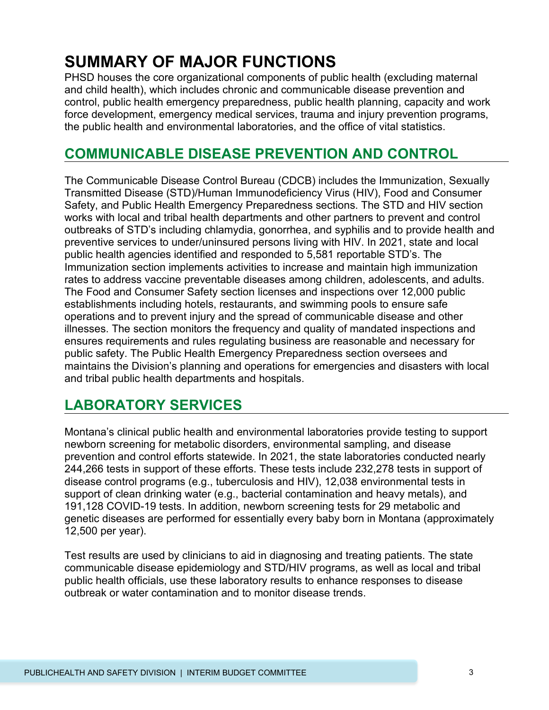# **SUMMARY OF MAJOR FUNCTIONS**

PHSD houses the core organizational components of public health (excluding maternal and child health), which includes chronic and communicable disease prevention and control, public health emergency preparedness, public health planning, capacity and work force development, emergency medical services, trauma and injury prevention programs, the public health and environmental laboratories, and the office of vital statistics.

### **COMMUNICABLE DISEASE PREVENTION AND CONTROL**

The Communicable Disease Control Bureau (CDCB) includes the Immunization, Sexually Transmitted Disease (STD)/Human Immunodeficiency Virus (HIV), Food and Consumer Safety, and Public Health Emergency Preparedness sections. The STD and HIV section works with local and tribal health departments and other partners to prevent and control outbreaks of STD's including chlamydia, gonorrhea, and syphilis and to provide health and preventive services to under/uninsured persons living with HIV. In 2021, state and local public health agencies identified and responded to 5,581 reportable STD's. The Immunization section implements activities to increase and maintain high immunization rates to address vaccine preventable diseases among children, adolescents, and adults. The Food and Consumer Safety section licenses and inspections over 12,000 public establishments including hotels, restaurants, and swimming pools to ensure safe operations and to prevent injury and the spread of communicable disease and other illnesses. The section monitors the frequency and quality of mandated inspections and ensures requirements and rules regulating business are reasonable and necessary for public safety. The Public Health Emergency Preparedness section oversees and maintains the Division's planning and operations for emergencies and disasters with local and tribal public health departments and hospitals.

### **LABORATORY SERVICES**

Montana's clinical public health and environmental laboratories provide testing to support newborn screening for metabolic disorders, environmental sampling, and disease prevention and control efforts statewide. In 2021, the state laboratories conducted nearly 244,266 tests in support of these efforts. These tests include 232,278 tests in support of disease control programs (e.g., tuberculosis and HIV), 12,038 environmental tests in support of clean drinking water (e.g., bacterial contamination and heavy metals), and 191,128 COVID-19 tests. In addition, newborn screening tests for 29 metabolic and genetic diseases are performed for essentially every baby born in Montana (approximately 12,500 per year).

Test results are used by clinicians to aid in diagnosing and treating patients. The state communicable disease epidemiology and STD/HIV programs, as well as local and tribal public health officials, use these laboratory results to enhance responses to disease outbreak or water contamination and to monitor disease trends.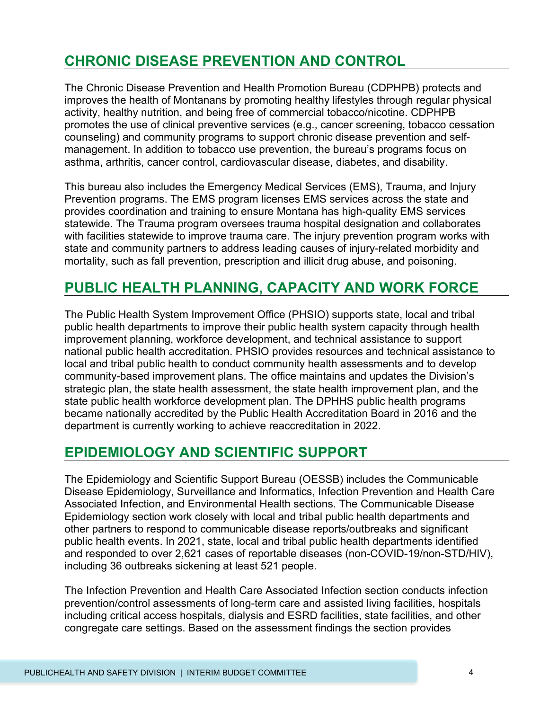## **CHRONIC DISEASE PREVENTION AND CONTROL**

The Chronic Disease Prevention and Health Promotion Bureau (CDPHPB) protects and improves the health of Montanans by promoting healthy lifestyles through regular physical activity, healthy nutrition, and being free of commercial tobacco/nicotine. CDPHPB promotes the use of clinical preventive services (e.g., cancer screening, tobacco cessation counseling) and community programs to support chronic disease prevention and selfmanagement. In addition to tobacco use prevention, the bureau's programs focus on asthma, arthritis, cancer control, cardiovascular disease, diabetes, and disability.

This bureau also includes the Emergency Medical Services (EMS), Trauma, and Injury Prevention programs. The EMS program licenses EMS services across the state and provides coordination and training to ensure Montana has high-quality EMS services statewide. The Trauma program oversees trauma hospital designation and collaborates with facilities statewide to improve trauma care. The injury prevention program works with state and community partners to address leading causes of injury-related morbidity and mortality, such as fall prevention, prescription and illicit drug abuse, and poisoning.

### **PUBLIC HEALTH PLANNING, CAPACITY AND WORK FORCE**

The Public Health System Improvement Office (PHSIO) supports state, local and tribal public health departments to improve their public health system capacity through health improvement planning, workforce development, and technical assistance to support national public health accreditation. PHSIO provides resources and technical assistance to local and tribal public health to conduct community health assessments and to develop community-based improvement plans. The office maintains and updates the Division's strategic plan, the state health assessment, the state health improvement plan, and the state public health workforce development plan. The DPHHS public health programs became nationally accredited by the Public Health Accreditation Board in 2016 and the department is currently working to achieve reaccreditation in 2022.

### **EPIDEMIOLOGY AND SCIENTIFIC SUPPORT**

The Epidemiology and Scientific Support Bureau (OESSB) includes the Communicable Disease Epidemiology, Surveillance and Informatics, Infection Prevention and Health Care Associated Infection, and Environmental Health sections. The Communicable Disease Epidemiology section work closely with local and tribal public health departments and other partners to respond to communicable disease reports/outbreaks and significant public health events. In 2021, state, local and tribal public health departments identified and responded to over 2,621 cases of reportable diseases (non-COVID-19/non-STD/HIV), including 36 outbreaks sickening at least 521 people.

The Infection Prevention and Health Care Associated Infection section conducts infection prevention/control assessments of long-term care and assisted living facilities, hospitals including critical access hospitals, dialysis and ESRD facilities, state facilities, and other congregate care settings. Based on the assessment findings the section provides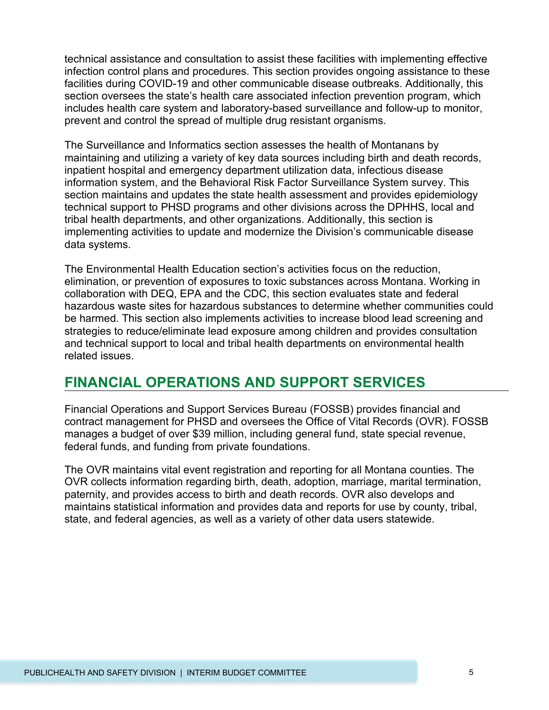technical assistance and consultation to assist these facilities with implementing effective infection control plans and procedures. This section provides ongoing assistance to these facilities during COVID-19 and other communicable disease outbreaks. Additionally, this section oversees the state's health care associated infection prevention program, which includes health care system and laboratory-based surveillance and follow-up to monitor, prevent and control the spread of multiple drug resistant organisms.

The Surveillance and Informatics section assesses the health of Montanans by maintaining and utilizing a variety of key data sources including birth and death records, inpatient hospital and emergency department utilization data, infectious disease information system, and the Behavioral Risk Factor Surveillance System survey. This section maintains and updates the state health assessment and provides epidemiology technical support to PHSD programs and other divisions across the DPHHS, local and tribal health departments, and other organizations. Additionally, this section is implementing activities to update and modernize the Division's communicable disease data systems.

The Environmental Health Education section's activities focus on the reduction, elimination, or prevention of exposures to toxic substances across Montana. Working in collaboration with DEQ, EPA and the CDC, this section evaluates state and federal hazardous waste sites for hazardous substances to determine whether communities could be harmed. This section also implements activities to increase blood lead screening and strategies to reduce/eliminate lead exposure among children and provides consultation and technical support to local and tribal health departments on environmental health related issues.

### **FINANCIAL OPERATIONS AND SUPPORT SERVICES**

Financial Operations and Support Services Bureau (FOSSB) provides financial and contract management for PHSD and oversees the Office of Vital Records (OVR). FOSSB manages a budget of over \$39 million, including general fund, state special revenue, federal funds, and funding from private foundations.

The OVR maintains vital event registration and reporting for all Montana counties. The OVR collects information regarding birth, death, adoption, marriage, marital termination, paternity, and provides access to birth and death records. OVR also develops and maintains statistical information and provides data and reports for use by county, tribal, state, and federal agencies, as well as a variety of other data users statewide.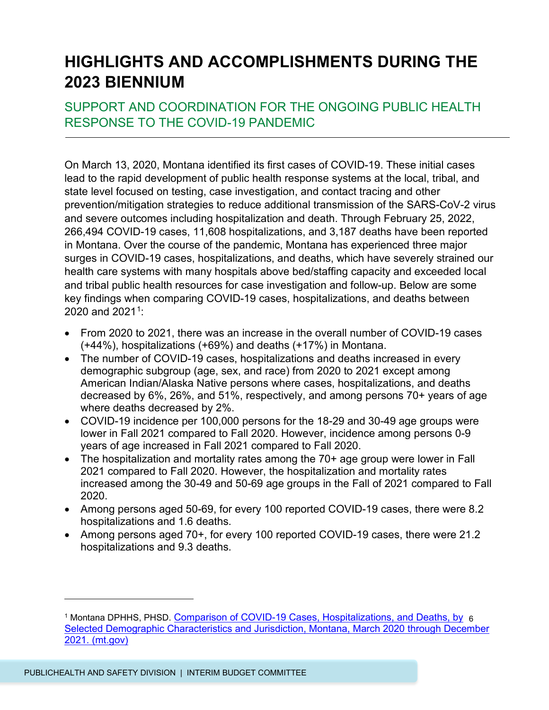# **HIGHLIGHTS AND ACCOMPLISHMENTS DURING THE 2023 BIENNIUM**

#### SUPPORT AND COORDINATION FOR THE ONGOING PUBLIC HEALTH RESPONSE TO THE COVID-19 PANDEMIC

On March 13, 2020, Montana identified its first cases of COVID-19. These initial cases lead to the rapid development of public health response systems at the local, tribal, and state level focused on testing, case investigation, and contact tracing and other prevention/mitigation strategies to reduce additional transmission of the SARS-CoV-2 virus and severe outcomes including hospitalization and death. Through February 25, 2022, 266,494 COVID-19 cases, 11,608 hospitalizations, and 3,187 deaths have been reported in Montana. Over the course of the pandemic, Montana has experienced three major surges in COVID-19 cases, hospitalizations, and deaths, which have severely strained our health care systems with many hospitals above bed/staffing capacity and exceeded local and tribal public health resources for case investigation and follow-up. Below are some key findings when comparing COVID-19 cases, hospitalizations, and deaths between 2020 and 202[1](#page-5-0)<sup>1</sup>:

- From 2020 to 2021, there was an increase in the overall number of COVID-19 cases (+44%), hospitalizations (+69%) and deaths (+17%) in Montana.
- The number of COVID-19 cases, hospitalizations and deaths increased in every demographic subgroup (age, sex, and race) from 2020 to 2021 except among American Indian/Alaska Native persons where cases, hospitalizations, and deaths decreased by 6%, 26%, and 51%, respectively, and among persons 70+ years of age where deaths decreased by 2%.
- COVID-19 incidence per 100,000 persons for the 18-29 and 30-49 age groups were lower in Fall 2021 compared to Fall 2020. However, incidence among persons 0-9 years of age increased in Fall 2021 compared to Fall 2020.
- The hospitalization and mortality rates among the 70+ age group were lower in Fall 2021 compared to Fall 2020. However, the hospitalization and mortality rates increased among the 30-49 and 50-69 age groups in the Fall of 2021 compared to Fall 2020.
- Among persons aged 50-69, for every 100 reported COVID-19 cases, there were 8.2 hospitalizations and 1.6 deaths.
- Among persons aged 70+, for every 100 reported COVID-19 cases, there were 21.2 hospitalizations and 9.3 deaths.

<span id="page-5-0"></span><sup>&</sup>lt;sup>1</sup> Montana DPHHS, PHSD. <u>Comparison of COVID-19 Cases, Hospitalizations, and Deaths, by</u> 6 [Selected Demographic Characteristics and Jurisdiction, Montana, March 2020 through December](https://dphhs.mt.gov/assets/publichealth/CDEpi/images/DiseasesAtoZ/Coronavirus/COVID19Comparisonreport20202021andAppendixFNL.pdf)  [2021. \(mt.gov\)](https://dphhs.mt.gov/assets/publichealth/CDEpi/images/DiseasesAtoZ/Coronavirus/COVID19Comparisonreport20202021andAppendixFNL.pdf)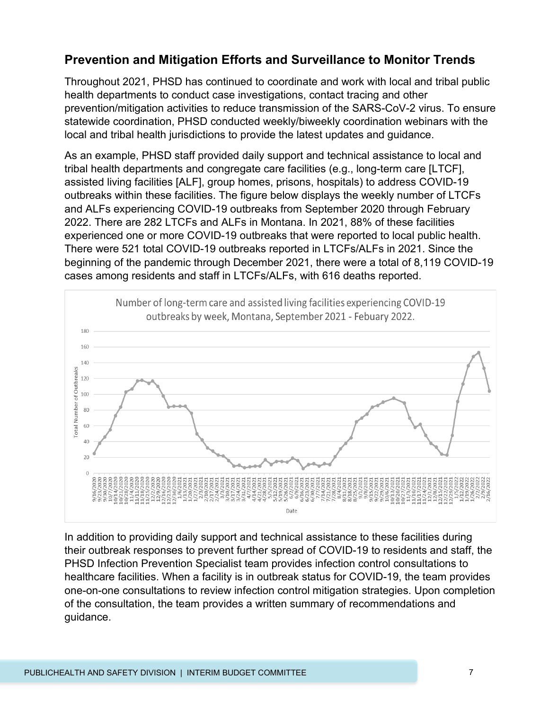#### **Prevention and Mitigation Efforts and Surveillance to Monitor Trends**

Throughout 2021, PHSD has continued to coordinate and work with local and tribal public health departments to conduct case investigations, contact tracing and other prevention/mitigation activities to reduce transmission of the SARS-CoV-2 virus. To ensure statewide coordination, PHSD conducted weekly/biweekly coordination webinars with the local and tribal health jurisdictions to provide the latest updates and guidance.

As an example, PHSD staff provided daily support and technical assistance to local and tribal health departments and congregate care facilities (e.g., long-term care [LTCF], assisted living facilities [ALF], group homes, prisons, hospitals) to address COVID-19 outbreaks within these facilities. The figure below displays the weekly number of LTCFs and ALFs experiencing COVID-19 outbreaks from September 2020 through February 2022. There are 282 LTCFs and ALFs in Montana. In 2021, 88% of these facilities experienced one or more COVID-19 outbreaks that were reported to local public health. There were 521 total COVID-19 outbreaks reported in LTCFs/ALFs in 2021. Since the beginning of the pandemic through December 2021, there were a total of 8,119 COVID-19 cases among residents and staff in LTCFs/ALFs, with 616 deaths reported.



In addition to providing daily support and technical assistance to these facilities during their outbreak responses to prevent further spread of COVID-19 to residents and staff, the PHSD Infection Prevention Specialist team provides infection control consultations to healthcare facilities. When a facility is in outbreak status for COVID-19, the team provides one-on-one consultations to review infection control mitigation strategies. Upon completion of the consultation, the team provides a written summary of recommendations and guidance.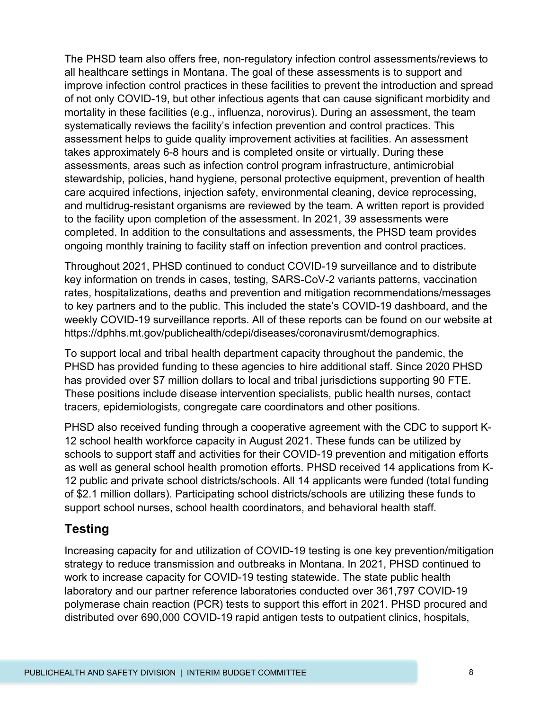The PHSD team also offers free, non-regulatory infection control assessments/reviews to all healthcare settings in Montana. The goal of these assessments is to support and improve infection control practices in these facilities to prevent the introduction and spread of not only COVID-19, but other infectious agents that can cause significant morbidity and mortality in these facilities (e.g., influenza, norovirus). During an assessment, the team systematically reviews the facility's infection prevention and control practices. This assessment helps to guide quality improvement activities at facilities. An assessment takes approximately 6-8 hours and is completed onsite or virtually. During these assessments, areas such as infection control program infrastructure, antimicrobial stewardship, policies, hand hygiene, personal protective equipment, prevention of health care acquired infections, injection safety, environmental cleaning, device reprocessing, and multidrug-resistant organisms are reviewed by the team. A written report is provided to the facility upon completion of the assessment. In 2021, 39 assessments were completed. In addition to the consultations and assessments, the PHSD team provides ongoing monthly training to facility staff on infection prevention and control practices.

Throughout 2021, PHSD continued to conduct COVID-19 surveillance and to distribute key information on trends in cases, testing, SARS-CoV-2 variants patterns, vaccination rates, hospitalizations, deaths and prevention and mitigation recommendations/messages to key partners and to the public. This included the state's COVID-19 dashboard, and the weekly COVID-19 surveillance reports. All of these reports can be found on our website at https://dphhs.mt.gov/publichealth/cdepi/diseases/coronavirusmt/demographics.

To support local and tribal health department capacity throughout the pandemic, the PHSD has provided funding to these agencies to hire additional staff. Since 2020 PHSD has provided over \$7 million dollars to local and tribal jurisdictions supporting 90 FTE. These positions include disease intervention specialists, public health nurses, contact tracers, epidemiologists, congregate care coordinators and other positions.

PHSD also received funding through a cooperative agreement with the CDC to support K-12 school health workforce capacity in August 2021. These funds can be utilized by schools to support staff and activities for their COVID-19 prevention and mitigation efforts as well as general school health promotion efforts. PHSD received 14 applications from K-12 public and private school districts/schools. All 14 applicants were funded (total funding of \$2.1 million dollars). Participating school districts/schools are utilizing these funds to support school nurses, school health coordinators, and behavioral health staff.

#### **Testing**

Increasing capacity for and utilization of COVID-19 testing is one key prevention/mitigation strategy to reduce transmission and outbreaks in Montana. In 2021, PHSD continued to work to increase capacity for COVID-19 testing statewide. The state public health laboratory and our partner reference laboratories conducted over 361,797 COVID-19 polymerase chain reaction (PCR) tests to support this effort in 2021. PHSD procured and distributed over 690,000 COVID-19 rapid antigen tests to outpatient clinics, hospitals,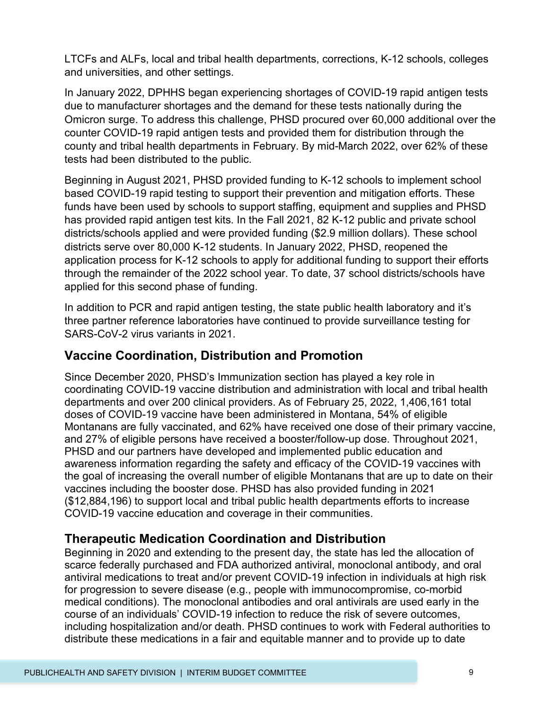LTCFs and ALFs, local and tribal health departments, corrections, K-12 schools, colleges and universities, and other settings.

In January 2022, DPHHS began experiencing shortages of COVID-19 rapid antigen tests due to manufacturer shortages and the demand for these tests nationally during the Omicron surge. To address this challenge, PHSD procured over 60,000 additional over the counter COVID-19 rapid antigen tests and provided them for distribution through the county and tribal health departments in February. By mid-March 2022, over 62% of these tests had been distributed to the public.

Beginning in August 2021, PHSD provided funding to K-12 schools to implement school based COVID-19 rapid testing to support their prevention and mitigation efforts. These funds have been used by schools to support staffing, equipment and supplies and PHSD has provided rapid antigen test kits. In the Fall 2021, 82 K-12 public and private school districts/schools applied and were provided funding (\$2.9 million dollars). These school districts serve over 80,000 K-12 students. In January 2022, PHSD, reopened the application process for K-12 schools to apply for additional funding to support their efforts through the remainder of the 2022 school year. To date, 37 school districts/schools have applied for this second phase of funding.

In addition to PCR and rapid antigen testing, the state public health laboratory and it's three partner reference laboratories have continued to provide surveillance testing for SARS-CoV-2 virus variants in 2021.

#### **Vaccine Coordination, Distribution and Promotion**

Since December 2020, PHSD's Immunization section has played a key role in coordinating COVID-19 vaccine distribution and administration with local and tribal health departments and over 200 clinical providers. As of February 25, 2022, 1,406,161 total doses of COVID-19 vaccine have been administered in Montana, 54% of eligible Montanans are fully vaccinated, and 62% have received one dose of their primary vaccine, and 27% of eligible persons have received a booster/follow-up dose. Throughout 2021, PHSD and our partners have developed and implemented public education and awareness information regarding the safety and efficacy of the COVID-19 vaccines with the goal of increasing the overall number of eligible Montanans that are up to date on their vaccines including the booster dose. PHSD has also provided funding in 2021 (\$12,884,196) to support local and tribal public health departments efforts to increase COVID-19 vaccine education and coverage in their communities.

#### **Therapeutic Medication Coordination and Distribution**

Beginning in 2020 and extending to the present day, the state has led the allocation of scarce federally purchased and FDA authorized antiviral, monoclonal antibody, and oral antiviral medications to treat and/or prevent COVID-19 infection in individuals at high risk for progression to severe disease (e.g., people with immunocompromise, co-morbid medical conditions). The monoclonal antibodies and oral antivirals are used early in the course of an individuals' COVID-19 infection to reduce the risk of severe outcomes, including hospitalization and/or death. PHSD continues to work with Federal authorities to distribute these medications in a fair and equitable manner and to provide up to date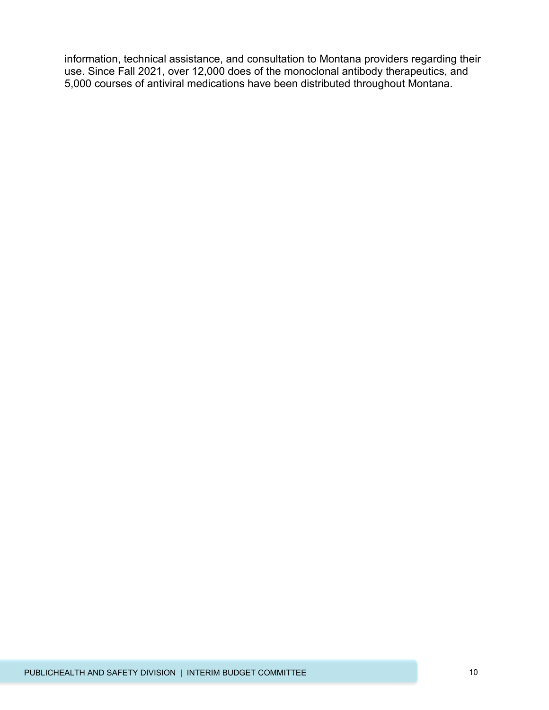information, technical assistance, and consultation to Montana providers regarding their use. Since Fall 2021, over 12,000 does of the monoclonal antibody therapeutics, and 5,000 courses of antiviral medications have been distributed throughout Montana.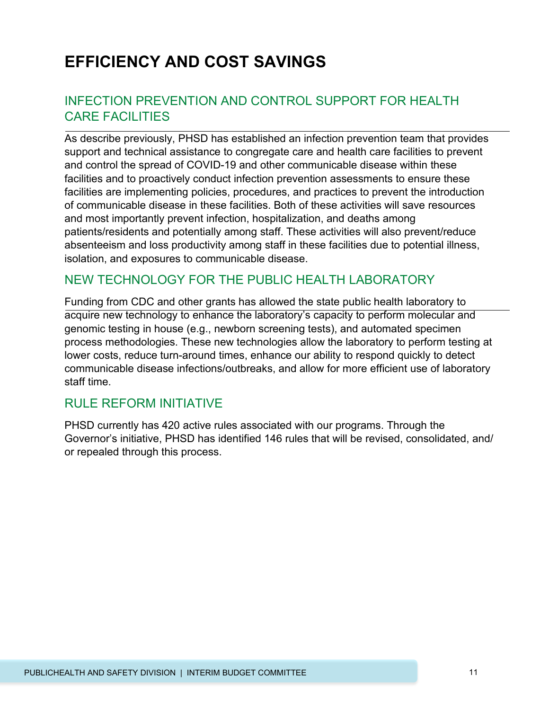# **EFFICIENCY AND COST SAVINGS**

#### INFECTION PREVENTION AND CONTROL SUPPORT FOR HEALTH CARE FACILITIES

As describe previously, PHSD has established an infection prevention team that provides support and technical assistance to congregate care and health care facilities to prevent and control the spread of COVID-19 and other communicable disease within these facilities and to proactively conduct infection prevention assessments to ensure these facilities are implementing policies, procedures, and practices to prevent the introduction of communicable disease in these facilities. Both of these activities will save resources and most importantly prevent infection, hospitalization, and deaths among patients/residents and potentially among staff. These activities will also prevent/reduce absenteeism and loss productivity among staff in these facilities due to potential illness, isolation, and exposures to communicable disease.

#### NEW TECHNOLOGY FOR THE PUBLIC HEALTH LABORATORY

Funding from CDC and other grants has allowed the state public health laboratory to acquire new technology to enhance the laboratory's capacity to perform molecular and genomic testing in house (e.g., newborn screening tests), and automated specimen process methodologies. These new technologies allow the laboratory to perform testing at lower costs, reduce turn-around times, enhance our ability to respond quickly to detect communicable disease infections/outbreaks, and allow for more efficient use of laboratory staff time.

#### RULE REFORM INITIATIVE

PHSD currently has 420 active rules associated with our programs. Through the Governor's initiative, PHSD has identified 146 rules that will be revised, consolidated, and/ or repealed through this process.